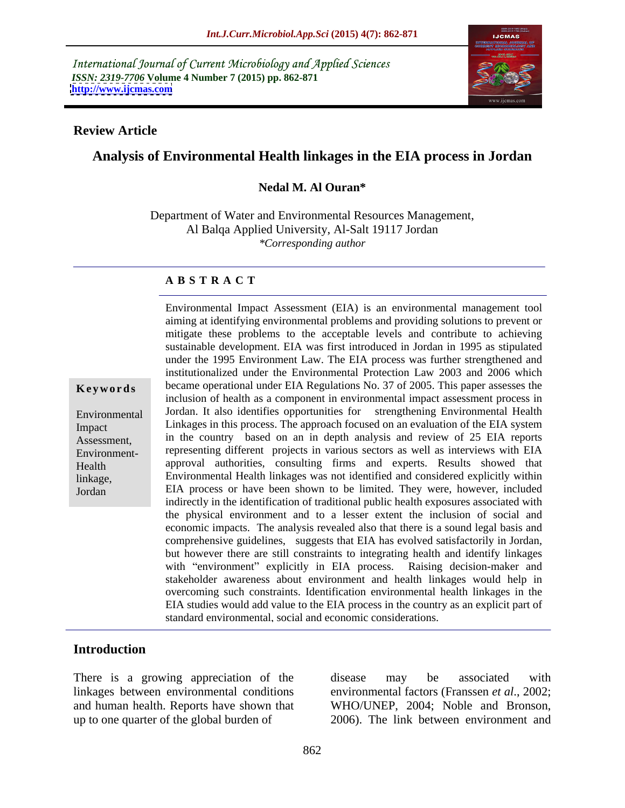International Journal of Current Microbiology and Applied Sciences *ISSN: 2319-7706* **Volume 4 Number 7 (2015) pp. 862-871 <http://www.ijcmas.com>**



## **Review Article**

# **Analysis of Environmental Health linkages in the EIA process in Jordan**

### **Nedal M. Al Ouran\***

Department of Water and Environmental Resources Management, Al Balqa Applied University, Al-Salt 19117 Jordan *\*Corresponding author*

### **A B S T R A C T**

Jordan

Environmental Impact Assessment (EIA) is an environmental management tool aiming at identifying environmental problems and providing solutions to prevent or mitigate these problems to the acceptable levels and contribute to achieving sustainable development. EIA was first introduced in Jordan in 1995 as stipulated under the 1995 Environment Law. The EIA process was further strengthened and institutionalized under the Environmental Protection Law 2003 and 2006 which **Keywords** became operational under EIA Regulations No. 37 of 2005. This paper assesses the inclusion of health as a component in environmental impact assessment process in Jordan. It also identifies opportunities for strengthening Environmental Health Environmental Linkages in this process. The approach focused on an evaluation of the EIA system Impact Assessment, in the country based on an in depth analysis and review of 25 EIA reports Environment- representing different projects in various sectors as well as interviews with EIA approval authorities, consulting firms and experts. Results showed that Health Environmental Health linkages was not identified and considered explicitly within linkage, EIA process or have been shown to be limited. They were, however, included indirectly in the identification of traditional public health exposures associated with the physical environment and to a lesser extent the inclusion of social and economic impacts. The analysis revealed also that there is a sound legal basis and comprehensive guidelines, suggests that EIA has evolved satisfactorily in Jordan, but however there are still constraints to integrating health and identify linkages with "environment" explicitly in EIA process. Raising decision-maker and stakeholder awareness about environment and health linkages would help in overcoming such constraints. Identification environmental health linkages in the EIA studies would add value to the EIA process in the country as an explicit part of standard environmental, social and economic considerations.

## **Introduction**

There is a growing appreciation of the disease may be associated with linkages between environmental conditions environmental factors (Franssen *et al*., 2002; and human health. Reports have shown that WHO/UNEP, 2004; Noble and Bronson, up to one quarter of the global burden of 2006). The link between environment and

disease may be associated with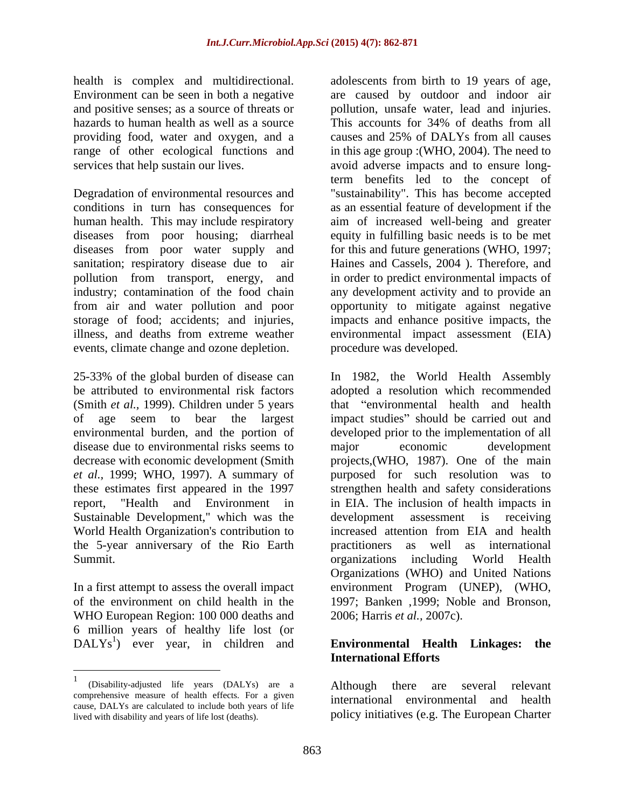health is complex and multidirectional. adolescents from birth to 19 years of age, hazards to human health as well as a source This accounts for 34% of deaths from all providing food, water and oxygen, and a

Degradation of environmental resources and "sustainability". This has become accepted conditions in turn has consequences for as an essential feature of development if the human health. This may include respiratory aim of increased well-being and greater diseases from poor housing; diarrheal equity in fulfilling basic needs is to be met diseases from poor water supply and for this and future generations (WHO, 1997; sanitation; respiratory disease due to air pollution from transport, energy, and in order to predict environmental impacts of industry; contamination of the food chain any development activity and to provide an from air and water pollution and poor opportunity to mitigate against negative storage of food; accidents; and injuries, impacts and enhance positive impacts, the illness, and deaths from extreme weather environmental impact assessment (EIA) events, climate change and ozone depletion.

of age seem to bear the largest disease due to environmental risks seems to major economic development *et al.,* 1999; WHO, 1997). A summary of Sustainable Development," which was the development assessment is receiving World Health Organization's contribution to increased attention from EIA and health the 5-year anniversary of the Rio Earth

WHO European Region: 100 000 deaths and 6 million years of healthy life lost (or  $DALYs<sup>1</sup>$  ever year, in children and **Environmental Health Linkages: the** 

Environment can be seen in both a negative are caused by outdoor and indoor air and positive senses; as a source of threats or pollution, unsafe water, lead and injuries. range of other ecological functions and in this age group :(WHO, 2004). The need to services that help sustain our lives.  $\sim$  avoid adverse impacts and to ensure long-This accounts for 34% of deaths from all causes and 25% of DALYs from all causes term benefits led to the concept of Haines and Cassels, 2004 ). Therefore, and procedure was developed.

25-33% of the global burden of disease can In 1982, the World Health Assembly be attributed to environmental risk factors adopted a resolution which recommended (Smith *et al.*, 1999). Children under 5 years that "environmental health and health environmental burden, and the portion of developed prior to the implementation of all decrease with economic development (Smith projects,(WHO, 1987). One of the main these estimates first appeared in the 1997 strengthen health and safety considerations report, "Health and Environment in in EIA. The inclusion of health impacts in Summit. organizations including World Health In a first attempt to assess the overall impact environment Program (UNEP), (WHO, of the environment on child health in the 1997; Banken ,1999; Noble and Bronson, impact studies" should be carried out and major economic development purposed for such resolution was to development assessment is receiving increased attention from EIA and health practitioners as well as international Organizations (WHO) and United Nations 2006; Harris *et al.,* 2007c).

# ) ever year, in children and **Environmental Health Linkages: the International Efforts**

Although there are several relevant international environmental and health policy initiatives (e.g. The European Charter

 $\frac{1}{1}$  or the line of  $\mathbb{R}^{1}$  and  $\mathbb{R}^{1}$  and  $\mathbb{R}^{1}$  and  $\mathbb{R}^{1}$  and  $\mathbb{R}^{1}$  and  $\mathbb{R}^{1}$  and  $\mathbb{R}^{1}$  and  $\mathbb{R}^{1}$  and  $\mathbb{R}^{1}$  and  $\mathbb{R}^{1}$  and  $\mathbb{R}^{1}$  and  $\mathbb{R}^{1}$  and  $\mathbb$ (Disability-adjusted life years (DALYs) are a comprehensive measure of health effects. For a given cause, DALYs are calculated to include both years of life lived with disability and years of life lost (deaths).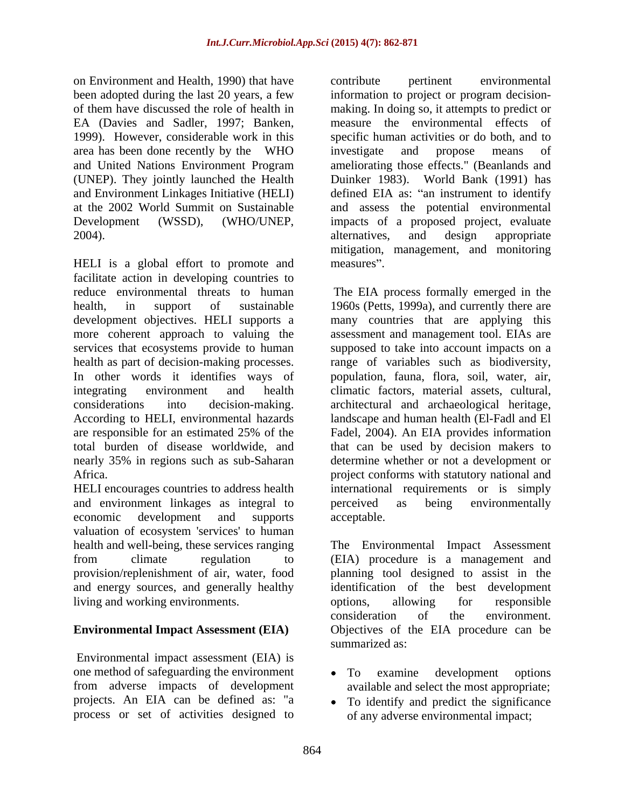on Environment and Health, 1990) that have contribute pertinent environmental 1999). However, considerable work in this area has been done recently by the WHO (UNEP). They jointly launched the Health

HELI is a global effort to promote and measures". facilitate action in developing countries to reduce environmental threats to human health, in support of sustainable 1960s (Petts, 1999a), and currently there are development objectives. HELI supports a many countries that are applying this more coherent approach to valuing the assessment and management tool. EIAs are services that ecosystems provide to human supposed to take into account impacts on a health as part of decision-making processes. range of variables such as biodiversity, In other words it identifies ways of integrating environment and health climatic factors, material assets, cultural, considerations into decision-making. architectural and archaeological heritage, According to HELI, environmental hazards landscape and human health (El-Fadl and El are responsible for an estimated 25% of the Fadel, 2004). An EIA provides information total burden of disease worldwide, and that can be used by decision makers to nearly 35% in regions such as sub-Saharan determine whether or not a development or

and environment linkages as integral to be perceived as being environmentally economic development and supports acceptable. valuation of ecosystem 'services' to human and energy sources, and generally healthy living and working environments.

Environmental impact assessment (EIA) is one method of safeguarding the environment • To examine development options from adverse impacts of development available and select the most appropriate; projects. An EIA can be defined as: "a To identify and predict the significance

been adopted during the last 20 years, a few information to project or program decision of them have discussed the role of health in making. In doing so, it attempts to predict or EA (Davies and Sadler, 1997; Banken, measure the environmental effects of and United Nations Environment Program ameliorating those effects." (Beanlands and and Environment Linkages Initiative (HELI) defined EIA as: "an instrument to identify at the 2002 World Summit on Sustainable and assess the potential environmental Development (WSSD), (WHO/UNEP, impacts of a proposed project, evaluate 2004). 2004). contribute pertinent environmental specific human activities or do both, and to investigate and propose means of Duinker 1983). World Bank (1991) has alternatives, and design appropriate mitigation, management, and monitoring measures".

Africa. project conforms with statutory national and HELI encourages countries to address health international requirements or is simply The EIA process formally emerged in the population, fauna, flora, soil, water, air, perceived as being environmentally acceptable.

health and well-being, these services ranging The Environmental Impact Assessment from climate regulation to (EIA) procedure is a management and provision/replenishment of air, water, food planning tool designed to assist in the **Environmental Impact Assessment (EIA)** Objectives of the EIA procedure can be identification of the best development options, allowing for responsible consideration of the environment. summarized as:  $\blacksquare$ 

- To examine development options
- process or set of activities designed to of any adverse environmental impact;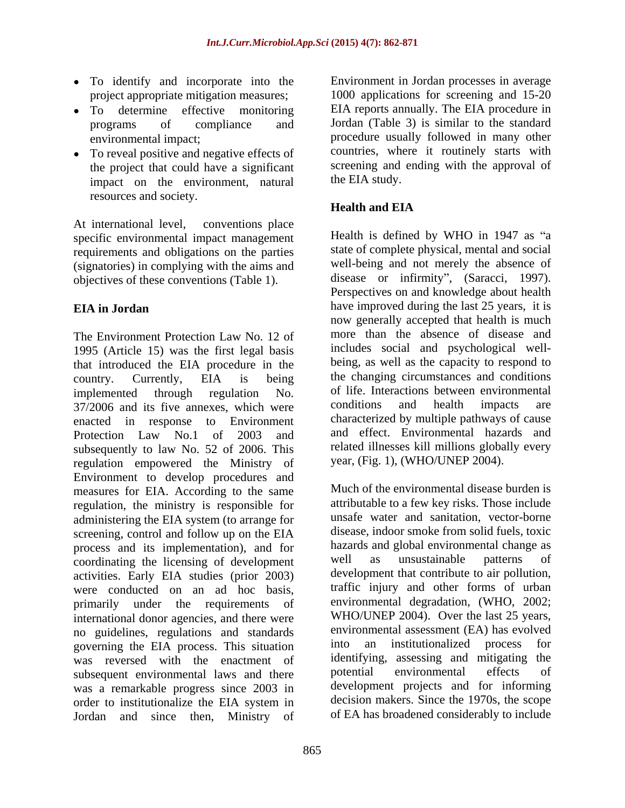- To identify and incorporate into the project appropriate mitigation measures;
- 
- To reveal positive and negative effects of the project that could have a significant impact on the environment, natural resources and society.

At international level, conventions place specific environmental impact management requirements and obligations on the parties (signatories) in complying with the aims and objectives of these conventions (Table 1).

The Environment Protection Law No. 12 of 1995 (Article 15) was the first legal basis that introduced the EIA procedure in the country. Currently, EIA is being the changing circumstances and conditions implemented through regulation No. of life. Interactions between environmental  $37/2006$  and its five annexes, which were conditions and health impacts are enacted in response to Environment Protection Law No.1 of 2003 and and effect. Environmental hazards and subsequently to law No. 52 of 2006. This regulation empowered the Ministry of Environment to develop procedures and measures for EIA. According to the same regulation, the ministry is responsible for administering the EIA system (to arrange for screening, control and follow up on the EIA process and its implementation), and for hazards and global environmental change as coordinating the licensing of development well as unsustainable patterns of coordinating the licensing of development activities. Early EIA studies (prior 2003) were conducted on an ad hoc basis, primarily under the requirements of international donor agencies, and there were no guidelines, regulations and standards<br>subsequential assessment (EA) has evolved<br>overning the EIA process. This situation into an institutionalized process for governing the EIA process. This situation was reversed with the enactment of identifying, assessing and mitigating the subsequent environmental laws and there **potential** environmental effects of subsequent environmental laws and there was a remarkable progress since 2003 in order to institutionalize the EIA system in decision makers. Since the 1970s, the scope Jordan and since then, Ministry of of EA has broadened considerably to include

To determine effective monitoring EIA reports annually. The EIA procedure in programs of compliance and Jordan (Table 3) is similar to the standard environmental impact; procedure usually followed in many other Environment in Jordan processes in average 1000 applications for screening and 15-20 countries, where it routinely starts with screening and ending with the approval of the EIA study.

# **Health and EIA**

**EIA in Jordan** have improved during the last 25 years, it is Health is defined by WHO in  $1947$  as "a state of complete physical, mental and social well-being and not merely the absence of disease or infirmity", (Saracci, 1997). Perspectives on and knowledge about health now generally accepted that health is much more than the absence of disease and includes social and psychological well being, as well as the capacity to respond to the changing circumstances and conditions of life. Interactions between environmental conditions and health impacts are characterized by multiple pathways of cause and effect. Environmental hazards and related illnesses kill millions globally every year, (Fig. 1), (WHO/UNEP 2004).

> Much of the environmental disease burden is attributable to a few key risks. Those include unsafe water and sanitation, vector-borne disease, indoor smoke from solid fuels, toxic hazards and global environmental change as well as unsustainable patterns of development that contribute to air pollution, traffic injury and other forms of urban environmental degradation, (WHO, 2002; WHO/UNEP 2004). Over the last 25 years, environmental assessment (EA) has evolved into an institutionalized process for identifying, assessing and mitigating the potential environmental effects of development projects and for informing decision makers. Since the 1970s, the scope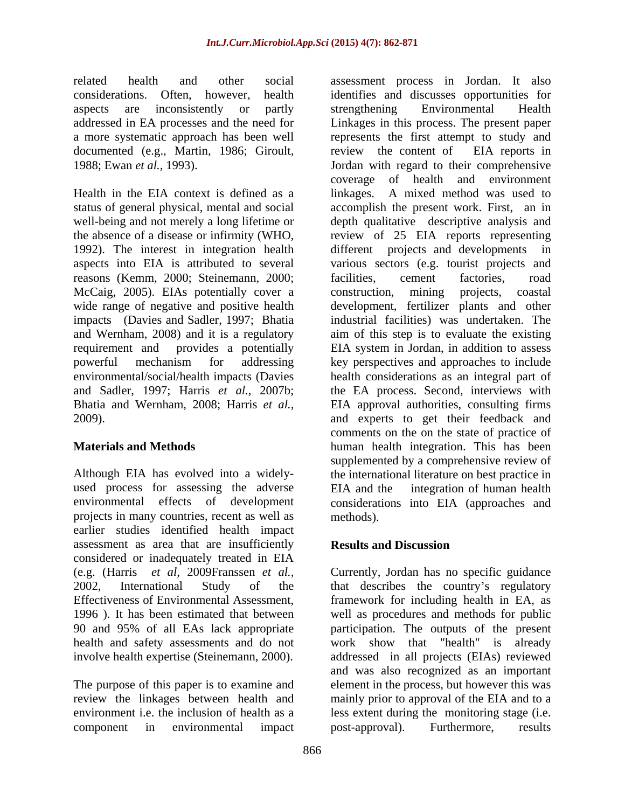related health and other social assessment process in Jordan. It also documented (e.g., Martin, 1986; Giroult, review the content of EIA reports in

Health in the EIA context is defined as a linkages. A mixed method was used to reasons (Kemm, 2000; Steinemann, 2000; McCaig, 2005). EIAs potentially cover a construction, mining projects, coastal impacts (Davies and Sadler, 1997; Bhatia

used process for assessing the adverse EIA and the integration of human health projects in many countries, recent as well as earlier studies identified health impact assessment as area that are insufficiently **Results and Discussion** considered or inadequately treated in EIA health and safety assessments and do not

considerations. Often, however, health identifies and discusses opportunities for aspects are inconsistently or partly strengthening Environmental Health addressed in EA processes and the need for Linkages in this process. The present paper a more systematic approach has been well represents the first attempt to study and 1988; Ewan *et al.,* 1993). Jordan with regard to their comprehensive status of general physical, mental and social accomplish the present work. First, an in well-being and not merely a long lifetime or depth qualitative descriptive analysis and the absence of a disease or infirmity (WHO, review of 25 EIA reports representing 1992). The interest in integration health different projects and developments in aspects into EIA is attributed to several varioussectors (e.g. tourist projects and wide range of negative and positive health development, fertilizer plants and other and Wernham, 2008) and it is a regulatory aim of this step is to evaluate the existing requirement and provides a potentially EIA system in Jordan, in addition to assess powerful mechanism for addressing key perspectives and approaches to include environmental/social/health impacts (Davies health considerations as an integral part of and Sadler, 1997; Harris *et al.,* 2007b; the EA process. Second, interviews with Bhatia and Wernham, 2008; Harris *et al.,* EIA approval authorities, consulting firms 2009). and experts to get their feedback and **Materials and Methods** human health integration. This has been Although EIA has evolved into a widely- the international literature on best practice in environmental effects of development considerations into EIA (approaches and strengthening Environmental Health review the content of EIA reports in coverage of health and environment linkages. A mixed method was used to facilities, cement factories, road construction, mining projects, coastal industrial facilities) was undertaken. The comments on the on the state of practice of supplemented by a comprehensive review of EIA and the integration of human health methods).

# **Results and Discussion**

(e.g. (Harris *et al,* 2009Franssen *et al.,* Currently, Jordan has no specific guidance 2002, International Study of the that describes the country's regulatory Effectiveness of Environmental Assessment, framework for including health in EA, as 1996 ). It has been estimated that between well as procedures and methods for public 90 and 95% of all EAs lack appropriate participation. The outputs of the present involve health expertise (Steinemann, 2000). addressed in all projects (EIAs) reviewed The purpose of this paper is to examine and element in the process, but however this was review the linkages between health and mainly prior to approval of the EIA and to a environment i.e. the inclusion of health as a less extent during the monitoring stage (i.e. component in environmental impact work show that "health" is already and was also recognized as an important post-approval). Furthermore, results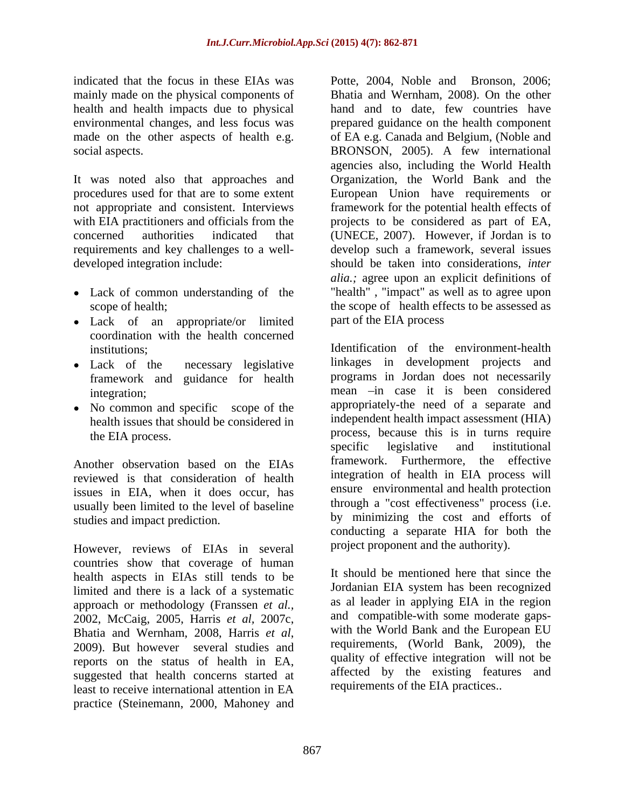indicated that the focus in these EIAs was Potte, 2004, Noble and Bronson, 2006; mainly made on the physical components of health and health impacts due to physical

It was noted also that approaches and Organization, the World Bank and the procedures used for that are to some extent European Union have requirements or not appropriate and consistent. Interviews framework for the potential health effects of with EIA practitioners and officials from the projects to be considered as part of EA, concerned authorities indicated that (UNECE, 2007). However, if Jordan is to requirements and key challenges to a well- develop such a framework, several issues developed integration include: should be taken into considerations, *inter* 

- 
- Lack of an appropriate/or limited coordination with the health concerned
- framework and guidance for health
- No common and specific scope of the health issues that should be considered in

Another observation based on the EIAs reviewed is that consideration of health issues in EIA, when it does occur, has usually been limited to the level of baseline studies and impact prediction.

However, reviews of EIAs in several countries show that coverage of human health aspects in EIAs still tends to be limited and there is a lack of a systematic approach or methodology (Franssen *et al.*, as al leader in applying EIA in the region and compatible-with some moderate gaps-<br>2002 McCaig 2005 Harris *et al.* 2007c and compatible-with some moderate gaps-2002, McCaig, 2005, Harris *et al*, 2007c, and compatible-with some moderate gaps-<br>Bhatia and Wernham, 2008, Harris *et al*, <sup>2009</sup> with the World Bank and the European EU 2009). But however several studies and <sup>1</sup> reports on the status of health in EA, suggested that health concerns started at least to receive international attention in EA requirements of the EIA practices. practice (Steinemann, 2000, Mahoney and

environmental changes, and less focus was prepared guidance on the health component made on the other aspects of health e.g. of EA e.g. Canada and Belgium, (Noble and social aspects. BRONSON, 2005). A few international Lack of common understanding of the "health" , "impact" as well as to agree upon scope of health; the scope of health effects to be assessed as Bhatia and Wernham, 2008). On the other hand and to date, few countries have agencies also, including the World Health projects to be considered as part of EA, *alia.;* agree upon an explicit definitions of part of the EIA process

institutions; Identification of the environment-health Lack of the necessary legislative linkages in development projects and integration; and in case it is been considered integration; the EIA process. process, because this is in turns require programs in Jordan does not necessarily appropriately-the need of a separate and independent health impact assessment (HIA) specific legislative and institutional framework. Furthermore, the effective integration of health in EIA process will ensure environmental and health protection through a "cost effectiveness" process (i.e. by minimizing the cost and efforts of conducting a separate HIA for both the project proponent and the authority).

> It should be mentioned here that since the Jordanian EIA system has been recognized as al leader in applying EIA in the region and compatible-with some moderate gaps- with the World Bank and the European EU requirements, (World Bank, 2009), the quality of effective integration will not be affected by the existing features and requirements of the EIA practices..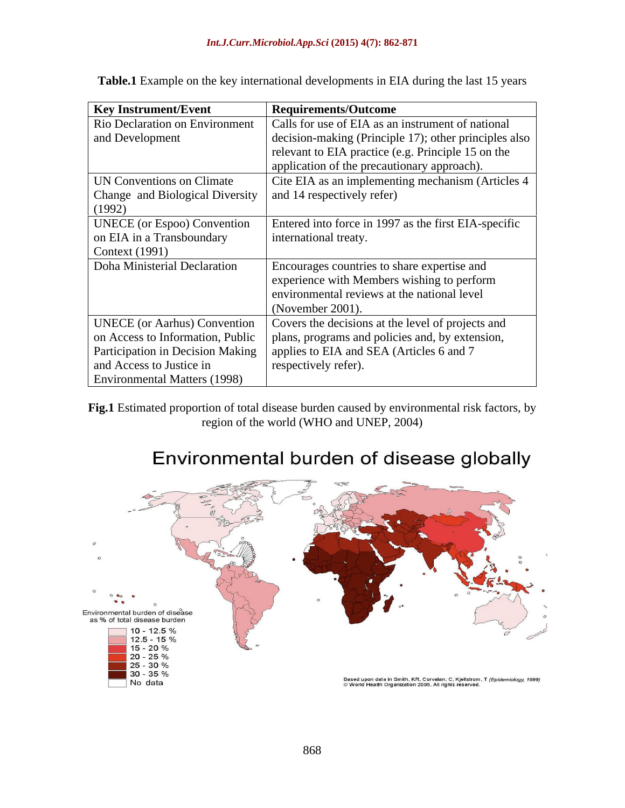| <b>Key Instrument/Event</b>         | <b>Requirements/Outcome</b>                           |
|-------------------------------------|-------------------------------------------------------|
| Rio Declaration on Environment      | Calls for use of EIA as an instrument of national     |
| and Development                     | decision-making (Principle 17); other principles also |
|                                     | relevant to EIA practice (e.g. Principle 15 on the    |
|                                     | application of the precautionary approach).           |
| UN Conventions on Climate           | Cite EIA as an implementing mechanism (Articles 4     |
| Change and Biological Diversity     | and 14 respectively refer)                            |
| (1992)                              |                                                       |
| <b>UNECE</b> (or Espoo) Convention  | Entered into force in 1997 as the first EIA-specific  |
| on EIA in a Transboundary           | international treaty.                                 |
| Context (1991)                      |                                                       |
| Doha Ministerial Declaration        | Encourages countries to share expertise and           |
|                                     | experience with Members wishing to perform            |
|                                     | environmental reviews at the national level           |
|                                     | (November 2001).                                      |
| <b>UNECE</b> (or Aarhus) Convention | Covers the decisions at the level of projects and     |
| on Access to Information, Public    | plans, programs and policies and, by extension,       |
| Participation in Decision Making    | applies to EIA and SEA (Articles 6 and 7)             |
| and Access to Justice in            | respectively refer).                                  |
| <b>Environmental Matters (1998)</b> |                                                       |

**Table.1** Example on the key international developments in EIA during the last 15 years

**Fig.1** Estimated proportion of total disease burden caused by environmental risk factors, by region of the world (WHO and UNEP, 2004)

# C  $\circ$ Environmental burden of disease<br>as % of total disease burden 10 - 12.5 %  $12.5 - 15%$ 15 - 20 % 20 - 25 % 25 - 30 % 30 - 35 % Based upon data in Smith, KR, Corvalan, C, Kjellstrom, T *(Epidemiology, 1999)*<br>© World Health Organization 2005. All rights reserved. No data

# Environmental burden of disease globally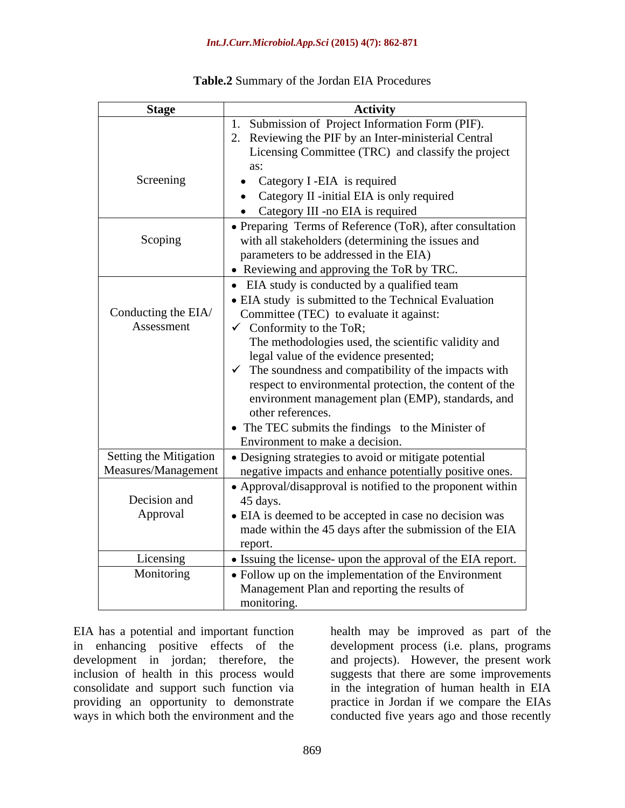### *Int.J.Curr.Microbiol.App.Sci* **(2015) 4(7): 862-871**

| <b>Stage</b>           | <b>Activity</b>                                                  |
|------------------------|------------------------------------------------------------------|
|                        | . Submission of Project Information Form (PIF).                  |
|                        | 2. Reviewing the PIF by an Inter-ministerial Central             |
|                        | Licensing Committee (TRC) and classify the project               |
|                        | as:                                                              |
| Screening              | • Category I -EIA is required                                    |
|                        | • Category II -initial EIA is only required                      |
|                        | • Category III -no EIA is required                               |
|                        | • Preparing Terms of Reference (ToR), after consultation         |
| Scoping                | with all stakeholders (determining the issues and                |
|                        | parameters to be addressed in the EIA)                           |
|                        | • Reviewing and approving the ToR by TRC.                        |
|                        | • EIA study is conducted by a qualified team                     |
|                        | • EIA study is submitted to the Technical Evaluation             |
| Conducting the EIA/    | Committee (TEC) to evaluate it against:                          |
| Assessment             | $\checkmark$ Conformity to the ToR;                              |
|                        | The methodologies used, the scientific validity and              |
|                        |                                                                  |
|                        | legal value of the evidence presented;                           |
|                        | $\checkmark$ The soundness and compatibility of the impacts with |
|                        | respect to environmental protection, the content of the          |
|                        | environment management plan (EMP), standards, and                |
|                        | other references.                                                |
|                        | • The TEC submits the findings to the Minister of                |
|                        | Environment to make a decision.                                  |
| Setting the Mitigation | • Designing strategies to avoid or mitigate potential            |
| Measures/Management    | negative impacts and enhance potentially positive ones.          |
|                        | • Approval/disapproval is notified to the proponent within       |
| Decision and           | 45 days.                                                         |
| Approval               | • EIA is deemed to be accepted in case no decision was           |
|                        | made within the 45 days after the submission of the EIA          |
|                        | report.                                                          |
| Licensing              | • Issuing the license- upon the approval of the EIA report.      |
| Monitoring             | • Follow up on the implementation of the Environment             |
|                        | Management Plan and reporting the results of                     |
|                        | monitoring.                                                      |

## **Table.2** Summary of the Jordan EIA Procedures

EIA has a potential and important function health may be improved as part of the in enhancing positive effects of the development process (i.e. plans, programs development in jordan; therefore, the and projects). However, the present work inclusion of health in this process would suggests that there are some improvements consolidate and support such function via in the integration of human health in EIA providing an opportunity to demonstrate practice in Jordan if we compare the EIAs ways in which both the environment and the conducted five years ago and those recently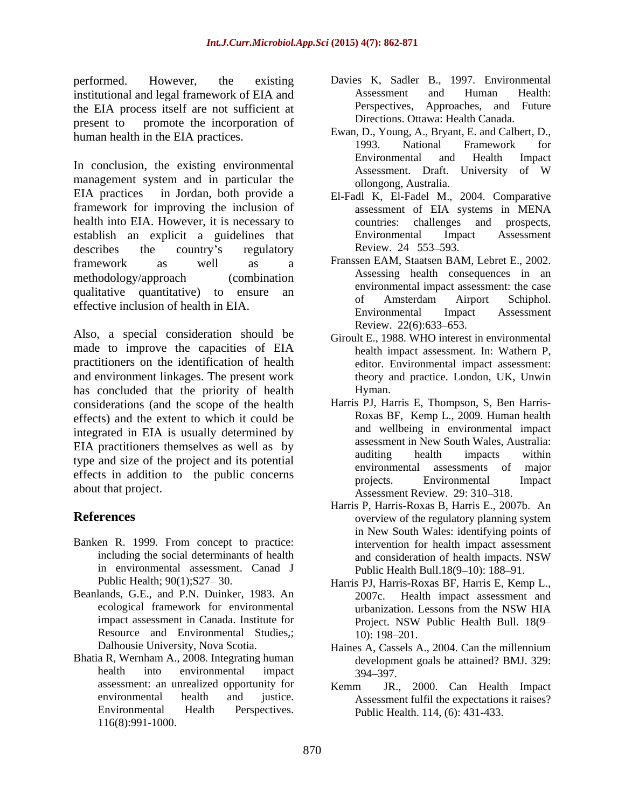performed. However, the existing Davies K, Sadler B., 1997. Environmental institutional and legal framework of EIA and Assessment and Human Health: the EIA process itself are not sufficient at present to promote the incorporation of

management system and in particular the EIA practices in Jordan, both provide a El-Fadl K, El-Fadel M., 2004. Comparative framework for improving the inclusion of assessment of EIA systems in MENA health into EIA. However, it is necessary to countries: challenges and prospects, establish an explicit a guidelines that Environmental Impact Assessment<br>describes the country's regulatory Review. 24 553–593. describes the country's regulatory Review. 24 553–593. framework as well as a Franssen EAM, Staatsen BAM, Lebret E., 2002. methodology/approach (combination qualitative quantitative) to ensure an environmental impact assessment: the case<br>of Amsterdam Airport Schiphol.

Also, a special consideration should be  $\frac{\text{Review. 22(6):633-653}}{\text{Given E 1988 WHO interest}}$ made to improve the capacities of EIA practitioners on the identification of health and environment linkages. The present work has concluded that the priority of health Hyman. considerations (and the scope of the health effects) and the extent to which it could be integrated in EIA is usually determined by EIA practitioners themselves as well as by assessment in New South Wales, Australia:<br>auditing health impacts within type and size of the project and its potential effects in addition to the public concerns by the projects. Environmental Impact

- Banken R. 1999. From concept to practice: in environmental assessment. Canad J
- Beanlands, G.E., and P.N. Duinker, 1983. An 2007c. Health impact assessment and Resource and Environmental Studies,; 10): 198–201.
- Bhatia R, Wernham A., 2008. Integrating human assessment: an unrealized opportunity for Kemm JR., 2000. Can Health Impact 116(8):991-1000.
- Assessment and Human Health: Perspectives, Approaches, and Future Directions. Ottawa: Health Canada.
- human health in the EIA practices.<br>1993. National Framework for In conclusion, the existing environmental and Environmental and Health Impact Assessment. Draft. University of W Ewan, D., Young, A., Bryant, E. and Calbert, D., 1993. National Framework for Environmental and Health Impact Assessment. Draft. University of W ollongong, Australia.
	- assessment of EIA systems in MENA countries: challenges and prospects, Environmental Impact Assessment Review. 24 553–593.
- effective inclusion of health in EIA.<br>
Environmental Impact Assessment Assessing health consequences in an environmental impact assessment: the case of Amsterdam Airport Schiphol. Environmental Impact Assessment Review. 22(6):633–653.
	- Giroult E., 1988. WHO interest in environmental health impact assessment. In: Wathern P, editor. Environmental impact assessment: theory and practice. London, UK, Unwin Hyman.
- about that project.<br>Assessment Review. 29: 310–318. Harris PJ, Harris E, Thompson, S, Ben Harris- Roxas BF, Kemp L., 2009. Human health and wellbeing in environmental impact assessment in New South Wales, Australia: auditing health impacts within environmental assessments of major projects. Environmental Impact
- **References** even be a set overview of the regulatory planning system including the social determinants of health and consideration of health impacts. NSW Harris P, Harris-Roxas B, Harris E., 2007b. An in New South Wales: identifying points of intervention for health impact assessment and consideration of health impacts. NSW Public Health Bull.18(9-10): 188-91.
	- Public Health; 90(1); S27–30. 
	Harris PJ, Harris-Roxas BF, Harris E, Kemp L., ecological framework for environmental urbanization. Lessons from the NSW HIA impact assessment in Canada. Institute for Project. NSW Public Health Bull. 18(9– 2007c. Health impact assessment and urbanization. Lessons from the NSW HIA Project. NSW Public Health Bull. 18(9 10): 198–201.
	- Dalhousie University, Nova Scotia. 
	Haines A, Cassels A., 2004. Can the millennium health into environmental impact  $394-397$ . Haines A, Cassels A., 2004. Can the millennium development goals be attained? BMJ. 329:<br>394–397. 394 397.
	- environmental health and justice. Assessment fulfil the expectations it raises? Environmental Health Perspectives. Public Health. 114, (6): 431-433. Kemm JR., 2000. Can Health Impact